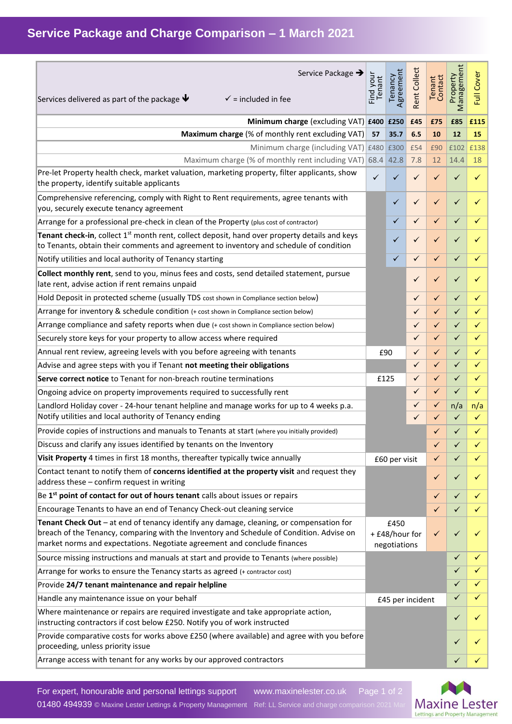| Service Package →<br>Services delivered as part of the package $\blacktriangleright$<br>$\checkmark$ = included in fee                                                                                                                                          | Find your<br>Tenant                    | Agreement<br>Tenancy | <b>Rent Collect</b> | Contact<br>Tenant | Property<br>Management | Cover<br>E   |
|-----------------------------------------------------------------------------------------------------------------------------------------------------------------------------------------------------------------------------------------------------------------|----------------------------------------|----------------------|---------------------|-------------------|------------------------|--------------|
| Minimum charge (excluding VAT) £400 £250                                                                                                                                                                                                                        |                                        |                      | £45                 | £75               | £85                    | £115         |
| Maximum charge (% of monthly rent excluding VAT)                                                                                                                                                                                                                | 57                                     | 35.7                 | 6.5                 | 10                | 12                     | 15           |
| Minimum charge (including VAT) £480 £300                                                                                                                                                                                                                        |                                        |                      | £54                 | £90               | £102                   | £138         |
| Maximum charge (% of monthly rent including VAT) 68.4                                                                                                                                                                                                           |                                        | 42.8                 | 7.8                 | 12                | 14.4                   | 18           |
| Pre-let Property health check, market valuation, marketing property, filter applicants, show<br>the property, identify suitable applicants                                                                                                                      | $\checkmark$                           | ✓                    | ✓                   | ✓                 | ✓                      | ✓            |
| Comprehensive referencing, comply with Right to Rent requirements, agree tenants with<br>you, securely execute tenancy agreement                                                                                                                                |                                        | ✓                    | ✓                   | ✓                 | ✓                      | $\checkmark$ |
| Arrange for a professional pre-check in clean of the Property (plus cost of contractor)                                                                                                                                                                         |                                        | ✓                    | $\checkmark$        | ✓                 | ✓                      | ✓            |
| Tenant check-in, collect $1st$ month rent, collect deposit, hand over property details and keys<br>to Tenants, obtain their comments and agreement to inventory and schedule of condition                                                                       |                                        | ✓                    | ✓                   | ✓                 | ✓                      |              |
| Notify utilities and local authority of Tenancy starting                                                                                                                                                                                                        |                                        | ✓                    | ✓                   | ✓                 | ✓                      | ✓            |
| Collect monthly rent, send to you, minus fees and costs, send detailed statement, pursue<br>late rent, advise action if rent remains unpaid                                                                                                                     |                                        |                      | ✓                   | ✓                 | ✓                      | ✓            |
| Hold Deposit in protected scheme (usually TDS cost shown in Compliance section below)                                                                                                                                                                           |                                        |                      | ✓                   | $\checkmark$      | ✓                      | ✓            |
| Arrange for inventory & schedule condition (+ cost shown in Compliance section below)                                                                                                                                                                           |                                        |                      | ✓                   | $\checkmark$      | ✓                      | ✓            |
| Arrange compliance and safety reports when due (+ cost shown in Compliance section below)                                                                                                                                                                       |                                        |                      | ✓                   | ✓                 | ✓                      | ✓            |
| Securely store keys for your property to allow access where required                                                                                                                                                                                            |                                        |                      | ✓                   | $\checkmark$      | $\checkmark$           | $\checkmark$ |
| Annual rent review, agreeing levels with you before agreeing with tenants                                                                                                                                                                                       |                                        | £90                  | $\checkmark$        | ✓                 | ✓                      | $\checkmark$ |
| Advise and agree steps with you if Tenant not meeting their obligations                                                                                                                                                                                         |                                        |                      | ✓                   | $\checkmark$      | ✓                      | ✓            |
| Serve correct notice to Tenant for non-breach routine terminations                                                                                                                                                                                              |                                        | £125                 | $\checkmark$        | $\checkmark$      | ✓                      | $\checkmark$ |
| Ongoing advice on property improvements required to successfully rent                                                                                                                                                                                           |                                        |                      | $\checkmark$        | $\checkmark$      | $\checkmark$           | $\checkmark$ |
| Landlord Holiday cover - 24-hour tenant helpline and manage works for up to 4 weeks p.a.<br>Notify utilities and local authority of Tenancy ending                                                                                                              |                                        |                      | ✓<br>✓              | $\checkmark$<br>✓ | n/a<br>✓               | n/a<br>✓     |
| Provide copies of instructions and manuals to Tenants at start (where you initially provided)                                                                                                                                                                   |                                        |                      |                     | ✓                 | ✓                      | ✓            |
| Discuss and clarify any issues identified by tenants on the Inventory                                                                                                                                                                                           |                                        |                      |                     | ✓                 |                        |              |
| Visit Property 4 times in first 18 months, thereafter typically twice annually                                                                                                                                                                                  | £60 per visit                          |                      |                     | ✓                 | ✓                      |              |
| Contact tenant to notify them of concerns identified at the property visit and request they<br>address these - confirm request in writing                                                                                                                       |                                        |                      |                     | $\checkmark$      | ✓                      |              |
| Be 1 <sup>st</sup> point of contact for out of hours tenant calls about issues or repairs                                                                                                                                                                       |                                        |                      |                     | ✓                 | ✓                      | ✓            |
| Encourage Tenants to have an end of Tenancy Check-out cleaning service                                                                                                                                                                                          |                                        |                      |                     | ✓                 | ✓                      |              |
| Tenant Check Out - at end of tenancy identify any damage, cleaning, or compensation for<br>breach of the Tenancy, comparing with the Inventory and Schedule of Condition. Advise on<br>market norms and expectations. Negotiate agreement and conclude finances | £450<br>+ £48/hour for<br>negotiations |                      |                     | $\checkmark$      | ✓                      |              |
| Source missing instructions and manuals at start and provide to Tenants (where possible)                                                                                                                                                                        |                                        |                      |                     |                   | ✓                      |              |
| Arrange for works to ensure the Tenancy starts as agreed (+ contractor cost)                                                                                                                                                                                    |                                        |                      |                     |                   | ✓                      |              |
| Provide 24/7 tenant maintenance and repair helpline                                                                                                                                                                                                             |                                        |                      |                     |                   | ✓                      |              |
| Handle any maintenance issue on your behalf                                                                                                                                                                                                                     | £45 per incident                       |                      |                     |                   | ✓                      | ✓            |
| Where maintenance or repairs are required investigate and take appropriate action,<br>instructing contractors if cost below £250. Notify you of work instructed                                                                                                 |                                        |                      |                     |                   | ✓                      |              |
| Provide comparative costs for works above £250 (where available) and agree with you before<br>proceeding, unless priority issue                                                                                                                                 |                                        |                      |                     |                   | ✓                      |              |
| Arrange access with tenant for any works by our approved contractors                                                                                                                                                                                            |                                        |                      |                     |                   |                        |              |